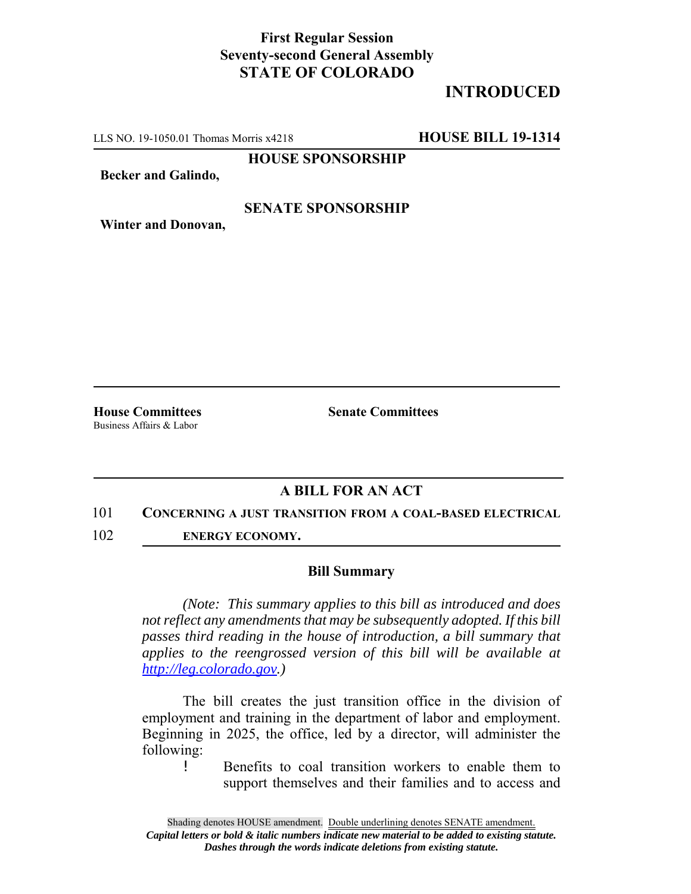## **First Regular Session Seventy-second General Assembly STATE OF COLORADO**

# **INTRODUCED**

LLS NO. 19-1050.01 Thomas Morris x4218 **HOUSE BILL 19-1314**

**HOUSE SPONSORSHIP**

**Becker and Galindo,**

### **SENATE SPONSORSHIP**

**Winter and Donovan,**

Business Affairs & Labor

**House Committees Senate Committees** 

### **A BILL FOR AN ACT**

### 101 **CONCERNING A JUST TRANSITION FROM A COAL-BASED ELECTRICAL**

102 **ENERGY ECONOMY.**

### **Bill Summary**

*(Note: This summary applies to this bill as introduced and does not reflect any amendments that may be subsequently adopted. If this bill passes third reading in the house of introduction, a bill summary that applies to the reengrossed version of this bill will be available at http://leg.colorado.gov.)*

The bill creates the just transition office in the division of employment and training in the department of labor and employment. Beginning in 2025, the office, led by a director, will administer the following:

! Benefits to coal transition workers to enable them to support themselves and their families and to access and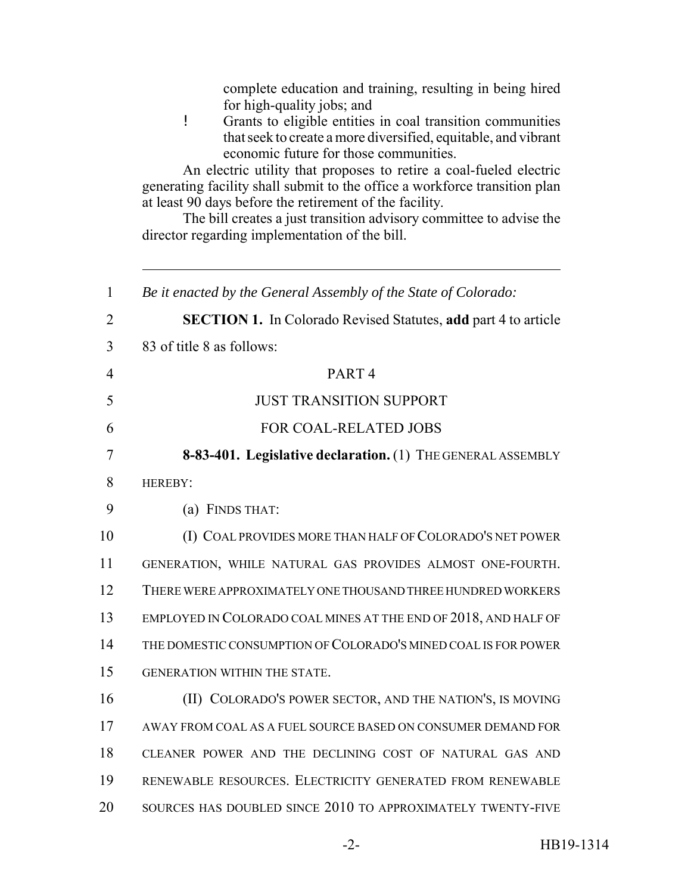| complete education and training, resulting in being hired<br>for high-quality jobs; and<br>Ţ<br>Grants to eligible entities in coal transition communities<br>that seek to create a more diversified, equitable, and vibrant<br>economic future for those communities.<br>An electric utility that proposes to retire a coal-fueled electric<br>generating facility shall submit to the office a workforce transition plan<br>at least 90 days before the retirement of the facility.<br>The bill creates a just transition advisory committee to advise the<br>director regarding implementation of the bill. |
|----------------------------------------------------------------------------------------------------------------------------------------------------------------------------------------------------------------------------------------------------------------------------------------------------------------------------------------------------------------------------------------------------------------------------------------------------------------------------------------------------------------------------------------------------------------------------------------------------------------|
| Be it enacted by the General Assembly of the State of Colorado:                                                                                                                                                                                                                                                                                                                                                                                                                                                                                                                                                |
| <b>SECTION 1.</b> In Colorado Revised Statutes, add part 4 to article                                                                                                                                                                                                                                                                                                                                                                                                                                                                                                                                          |
| 83 of title 8 as follows:                                                                                                                                                                                                                                                                                                                                                                                                                                                                                                                                                                                      |
| PART <sub>4</sub>                                                                                                                                                                                                                                                                                                                                                                                                                                                                                                                                                                                              |
| <b>JUST TRANSITION SUPPORT</b>                                                                                                                                                                                                                                                                                                                                                                                                                                                                                                                                                                                 |
| FOR COAL-RELATED JOBS                                                                                                                                                                                                                                                                                                                                                                                                                                                                                                                                                                                          |
| 8-83-401. Legislative declaration. (1) THE GENERAL ASSEMBLY                                                                                                                                                                                                                                                                                                                                                                                                                                                                                                                                                    |
| HEREBY:                                                                                                                                                                                                                                                                                                                                                                                                                                                                                                                                                                                                        |
| (a) FINDS THAT:                                                                                                                                                                                                                                                                                                                                                                                                                                                                                                                                                                                                |
| (I) COAL PROVIDES MORE THAN HALF OF COLORADO'S NET POWER                                                                                                                                                                                                                                                                                                                                                                                                                                                                                                                                                       |
| GENERATION, WHILE NATURAL GAS PROVIDES ALMOST ONE-FOURTH.                                                                                                                                                                                                                                                                                                                                                                                                                                                                                                                                                      |
| THERE WERE APPROXIMATELY ONE THOUSAND THREE HUNDRED WORKERS                                                                                                                                                                                                                                                                                                                                                                                                                                                                                                                                                    |
| EMPLOYED IN COLORADO COAL MINES AT THE END OF 2018, AND HALF OF                                                                                                                                                                                                                                                                                                                                                                                                                                                                                                                                                |
| THE DOMESTIC CONSUMPTION OF COLORADO'S MINED COAL IS FOR POWER                                                                                                                                                                                                                                                                                                                                                                                                                                                                                                                                                 |
| GENERATION WITHIN THE STATE.                                                                                                                                                                                                                                                                                                                                                                                                                                                                                                                                                                                   |
| (II) COLORADO'S POWER SECTOR, AND THE NATION'S, IS MOVING                                                                                                                                                                                                                                                                                                                                                                                                                                                                                                                                                      |
| AWAY FROM COAL AS A FUEL SOURCE BASED ON CONSUMER DEMAND FOR                                                                                                                                                                                                                                                                                                                                                                                                                                                                                                                                                   |
| CLEANER POWER AND THE DECLINING COST OF NATURAL GAS AND                                                                                                                                                                                                                                                                                                                                                                                                                                                                                                                                                        |
| RENEWABLE RESOURCES. ELECTRICITY GENERATED FROM RENEWABLE                                                                                                                                                                                                                                                                                                                                                                                                                                                                                                                                                      |
| SOURCES HAS DOUBLED SINCE 2010 TO APPROXIMATELY TWENTY-FIVE                                                                                                                                                                                                                                                                                                                                                                                                                                                                                                                                                    |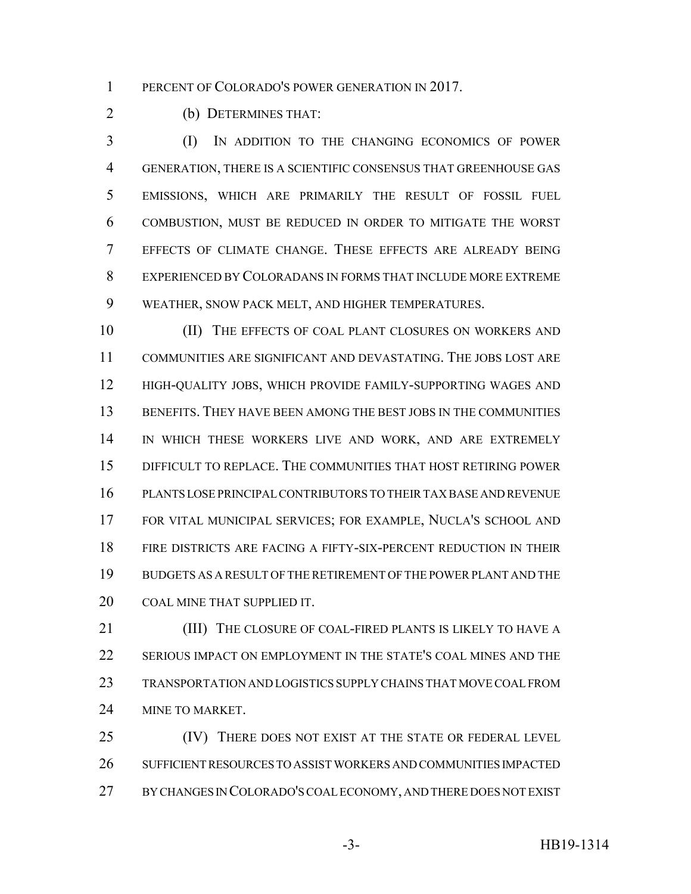1 PERCENT OF COLORADO'S POWER GENERATION IN 2017.

(b) DETERMINES THAT:

 (I) IN ADDITION TO THE CHANGING ECONOMICS OF POWER GENERATION, THERE IS A SCIENTIFIC CONSENSUS THAT GREENHOUSE GAS EMISSIONS, WHICH ARE PRIMARILY THE RESULT OF FOSSIL FUEL COMBUSTION, MUST BE REDUCED IN ORDER TO MITIGATE THE WORST EFFECTS OF CLIMATE CHANGE. THESE EFFECTS ARE ALREADY BEING EXPERIENCED BY COLORADANS IN FORMS THAT INCLUDE MORE EXTREME WEATHER, SNOW PACK MELT, AND HIGHER TEMPERATURES.

10 (II) THE EFFECTS OF COAL PLANT CLOSURES ON WORKERS AND COMMUNITIES ARE SIGNIFICANT AND DEVASTATING. THE JOBS LOST ARE HIGH-QUALITY JOBS, WHICH PROVIDE FAMILY-SUPPORTING WAGES AND BENEFITS. THEY HAVE BEEN AMONG THE BEST JOBS IN THE COMMUNITIES IN WHICH THESE WORKERS LIVE AND WORK, AND ARE EXTREMELY DIFFICULT TO REPLACE. THE COMMUNITIES THAT HOST RETIRING POWER PLANTS LOSE PRINCIPAL CONTRIBUTORS TO THEIR TAX BASE AND REVENUE FOR VITAL MUNICIPAL SERVICES; FOR EXAMPLE, NUCLA'S SCHOOL AND FIRE DISTRICTS ARE FACING A FIFTY-SIX-PERCENT REDUCTION IN THEIR BUDGETS AS A RESULT OF THE RETIREMENT OF THE POWER PLANT AND THE COAL MINE THAT SUPPLIED IT.

**(III)** THE CLOSURE OF COAL-FIRED PLANTS IS LIKELY TO HAVE A SERIOUS IMPACT ON EMPLOYMENT IN THE STATE'S COAL MINES AND THE TRANSPORTATION AND LOGISTICS SUPPLY CHAINS THAT MOVE COAL FROM 24 MINE TO MARKET.

25 (IV) THERE DOES NOT EXIST AT THE STATE OR FEDERAL LEVEL SUFFICIENT RESOURCES TO ASSIST WORKERS AND COMMUNITIES IMPACTED BY CHANGES IN COLORADO'S COAL ECONOMY, AND THERE DOES NOT EXIST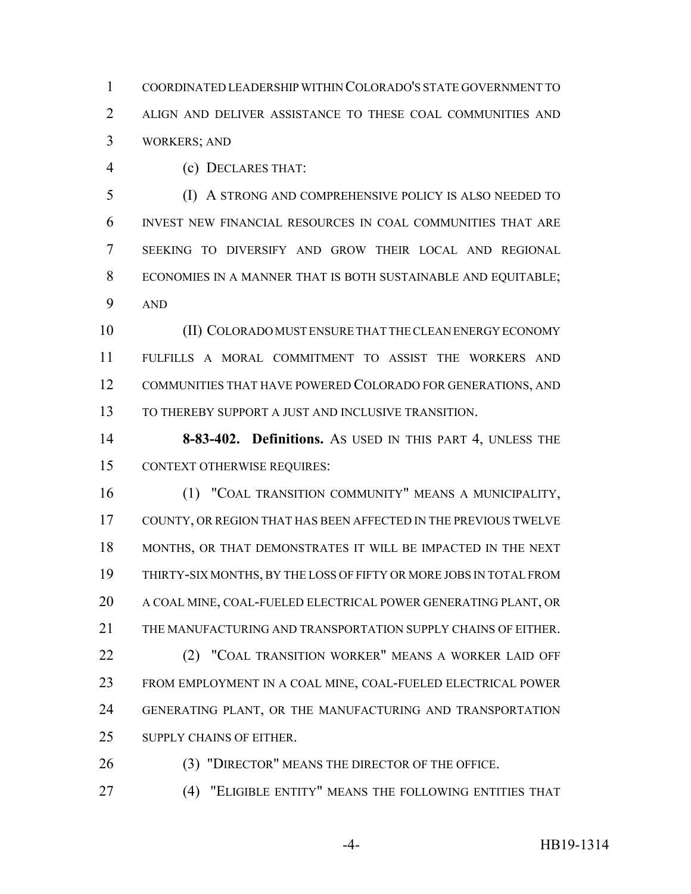COORDINATED LEADERSHIP WITHIN COLORADO'S STATE GOVERNMENT TO ALIGN AND DELIVER ASSISTANCE TO THESE COAL COMMUNITIES AND WORKERS; AND

(c) DECLARES THAT:

 (I) A STRONG AND COMPREHENSIVE POLICY IS ALSO NEEDED TO INVEST NEW FINANCIAL RESOURCES IN COAL COMMUNITIES THAT ARE SEEKING TO DIVERSIFY AND GROW THEIR LOCAL AND REGIONAL ECONOMIES IN A MANNER THAT IS BOTH SUSTAINABLE AND EQUITABLE; AND

 (II) COLORADO MUST ENSURE THAT THE CLEAN ENERGY ECONOMY FULFILLS A MORAL COMMITMENT TO ASSIST THE WORKERS AND COMMUNITIES THAT HAVE POWERED COLORADO FOR GENERATIONS, AND 13 TO THEREBY SUPPORT A JUST AND INCLUSIVE TRANSITION.

 **8-83-402. Definitions.** AS USED IN THIS PART 4, UNLESS THE CONTEXT OTHERWISE REQUIRES:

 (1) "COAL TRANSITION COMMUNITY" MEANS A MUNICIPALITY, COUNTY, OR REGION THAT HAS BEEN AFFECTED IN THE PREVIOUS TWELVE MONTHS, OR THAT DEMONSTRATES IT WILL BE IMPACTED IN THE NEXT THIRTY-SIX MONTHS, BY THE LOSS OF FIFTY OR MORE JOBS IN TOTAL FROM A COAL MINE, COAL-FUELED ELECTRICAL POWER GENERATING PLANT, OR THE MANUFACTURING AND TRANSPORTATION SUPPLY CHAINS OF EITHER. 22 (2) "COAL TRANSITION WORKER" MEANS A WORKER LAID OFF FROM EMPLOYMENT IN A COAL MINE, COAL-FUELED ELECTRICAL POWER GENERATING PLANT, OR THE MANUFACTURING AND TRANSPORTATION SUPPLY CHAINS OF EITHER.

(3) "DIRECTOR" MEANS THE DIRECTOR OF THE OFFICE.

(4) "ELIGIBLE ENTITY" MEANS THE FOLLOWING ENTITIES THAT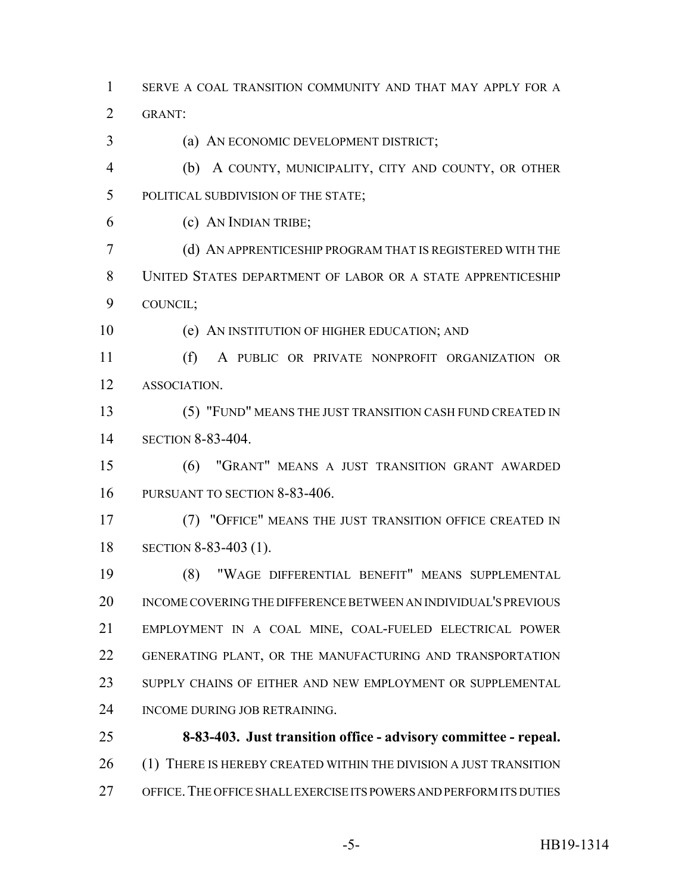SERVE A COAL TRANSITION COMMUNITY AND THAT MAY APPLY FOR A

GRANT:

- (a) AN ECONOMIC DEVELOPMENT DISTRICT;
- (b) A COUNTY, MUNICIPALITY, CITY AND COUNTY, OR OTHER POLITICAL SUBDIVISION OF THE STATE;
- (c) AN INDIAN TRIBE;
- (d) AN APPRENTICESHIP PROGRAM THAT IS REGISTERED WITH THE UNITED STATES DEPARTMENT OF LABOR OR A STATE APPRENTICESHIP COUNCIL;
- (e) AN INSTITUTION OF HIGHER EDUCATION; AND
- (f) A PUBLIC OR PRIVATE NONPROFIT ORGANIZATION OR ASSOCIATION.
- (5) "FUND" MEANS THE JUST TRANSITION CASH FUND CREATED IN SECTION 8-83-404.
- (6) "GRANT" MEANS A JUST TRANSITION GRANT AWARDED PURSUANT TO SECTION 8-83-406.
- (7) "OFFICE" MEANS THE JUST TRANSITION OFFICE CREATED IN SECTION 8-83-403 (1).
- (8) "WAGE DIFFERENTIAL BENEFIT" MEANS SUPPLEMENTAL INCOME COVERING THE DIFFERENCE BETWEEN AN INDIVIDUAL'S PREVIOUS EMPLOYMENT IN A COAL MINE, COAL-FUELED ELECTRICAL POWER GENERATING PLANT, OR THE MANUFACTURING AND TRANSPORTATION SUPPLY CHAINS OF EITHER AND NEW EMPLOYMENT OR SUPPLEMENTAL INCOME DURING JOB RETRAINING.
- **8-83-403. Just transition office advisory committee repeal.** 26 (1) THERE IS HEREBY CREATED WITHIN THE DIVISION A JUST TRANSITION OFFICE.THE OFFICE SHALL EXERCISE ITS POWERS AND PERFORM ITS DUTIES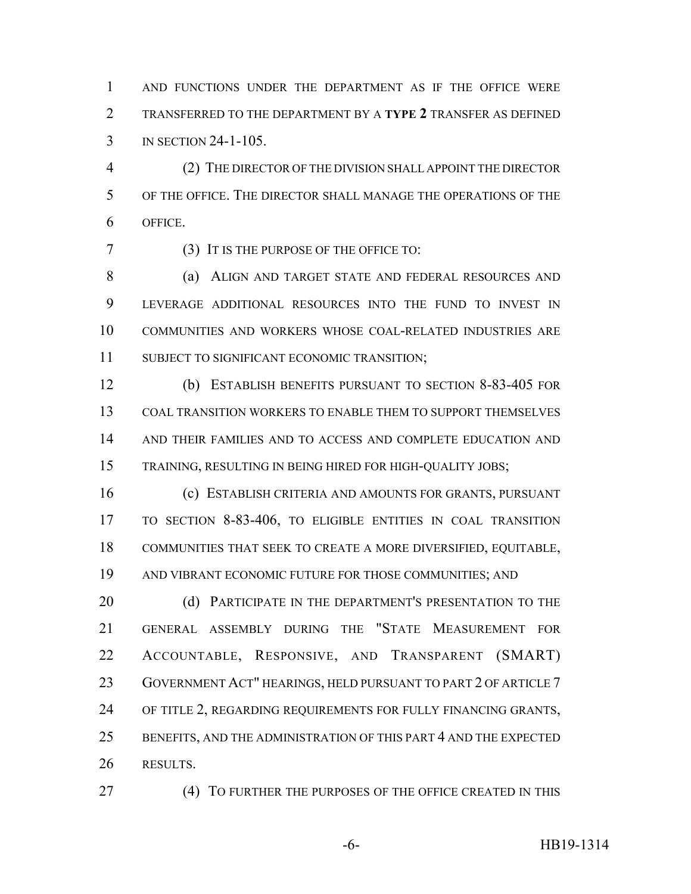AND FUNCTIONS UNDER THE DEPARTMENT AS IF THE OFFICE WERE TRANSFERRED TO THE DEPARTMENT BY A **TYPE 2** TRANSFER AS DEFINED IN SECTION 24-1-105.

 (2) THE DIRECTOR OF THE DIVISION SHALL APPOINT THE DIRECTOR OF THE OFFICE. THE DIRECTOR SHALL MANAGE THE OPERATIONS OF THE OFFICE.

(3) IT IS THE PURPOSE OF THE OFFICE TO:

8 (a) ALIGN AND TARGET STATE AND FEDERAL RESOURCES AND LEVERAGE ADDITIONAL RESOURCES INTO THE FUND TO INVEST IN COMMUNITIES AND WORKERS WHOSE COAL-RELATED INDUSTRIES ARE SUBJECT TO SIGNIFICANT ECONOMIC TRANSITION;

 (b) ESTABLISH BENEFITS PURSUANT TO SECTION 8-83-405 FOR COAL TRANSITION WORKERS TO ENABLE THEM TO SUPPORT THEMSELVES AND THEIR FAMILIES AND TO ACCESS AND COMPLETE EDUCATION AND TRAINING, RESULTING IN BEING HIRED FOR HIGH-QUALITY JOBS;

 (c) ESTABLISH CRITERIA AND AMOUNTS FOR GRANTS, PURSUANT TO SECTION 8-83-406, TO ELIGIBLE ENTITIES IN COAL TRANSITION COMMUNITIES THAT SEEK TO CREATE A MORE DIVERSIFIED, EQUITABLE, AND VIBRANT ECONOMIC FUTURE FOR THOSE COMMUNITIES; AND

20 (d) PARTICIPATE IN THE DEPARTMENT'S PRESENTATION TO THE GENERAL ASSEMBLY DURING THE "STATE MEASUREMENT FOR ACCOUNTABLE, RESPONSIVE, AND TRANSPARENT (SMART) 23 GOVERNMENT ACT" HEARINGS, HELD PURSUANT TO PART 2 OF ARTICLE 7 OF TITLE 2, REGARDING REQUIREMENTS FOR FULLY FINANCING GRANTS, BENEFITS, AND THE ADMINISTRATION OF THIS PART 4 AND THE EXPECTED RESULTS.

27 (4) TO FURTHER THE PURPOSES OF THE OFFICE CREATED IN THIS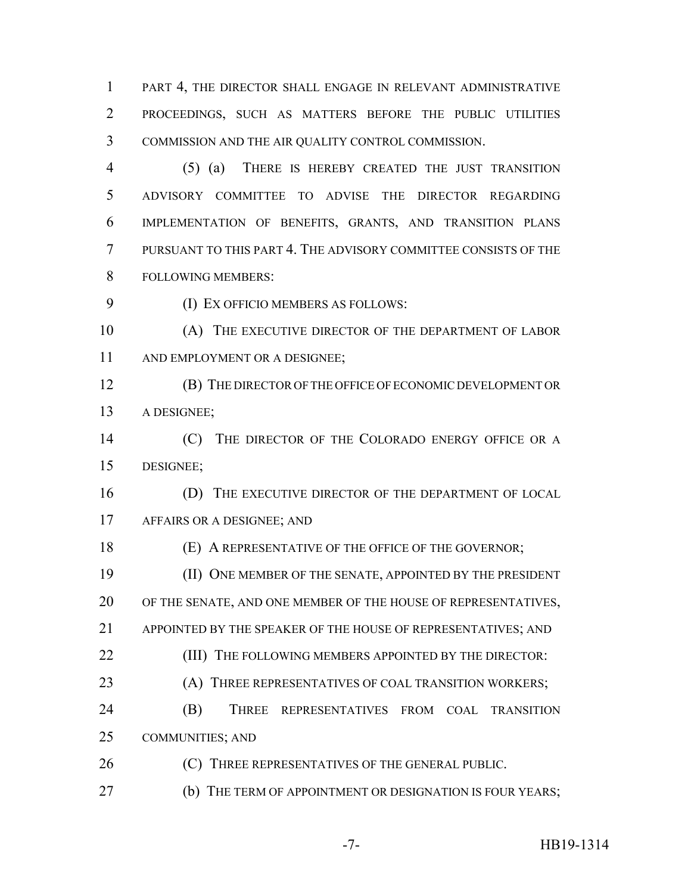1 PART 4, THE DIRECTOR SHALL ENGAGE IN RELEVANT ADMINISTRATIVE PROCEEDINGS, SUCH AS MATTERS BEFORE THE PUBLIC UTILITIES COMMISSION AND THE AIR QUALITY CONTROL COMMISSION.

 (5) (a) THERE IS HEREBY CREATED THE JUST TRANSITION ADVISORY COMMITTEE TO ADVISE THE DIRECTOR REGARDING IMPLEMENTATION OF BENEFITS, GRANTS, AND TRANSITION PLANS PURSUANT TO THIS PART 4. THE ADVISORY COMMITTEE CONSISTS OF THE FOLLOWING MEMBERS:

(I) EX OFFICIO MEMBERS AS FOLLOWS:

10 (A) THE EXECUTIVE DIRECTOR OF THE DEPARTMENT OF LABOR 11 AND EMPLOYMENT OR A DESIGNEE;

 (B) THE DIRECTOR OF THE OFFICE OF ECONOMIC DEVELOPMENT OR A DESIGNEE;

 (C) THE DIRECTOR OF THE COLORADO ENERGY OFFICE OR A DESIGNEE;

16 (D) THE EXECUTIVE DIRECTOR OF THE DEPARTMENT OF LOCAL AFFAIRS OR A DESIGNEE; AND

(E) A REPRESENTATIVE OF THE OFFICE OF THE GOVERNOR;

 (II) ONE MEMBER OF THE SENATE, APPOINTED BY THE PRESIDENT OF THE SENATE, AND ONE MEMBER OF THE HOUSE OF REPRESENTATIVES, APPOINTED BY THE SPEAKER OF THE HOUSE OF REPRESENTATIVES; AND

**(III)** THE FOLLOWING MEMBERS APPOINTED BY THE DIRECTOR:

23 (A) THREE REPRESENTATIVES OF COAL TRANSITION WORKERS;

 (B) THREE REPRESENTATIVES FROM COAL TRANSITION COMMUNITIES; AND

**(C)** THREE REPRESENTATIVES OF THE GENERAL PUBLIC.

(b) THE TERM OF APPOINTMENT OR DESIGNATION IS FOUR YEARS;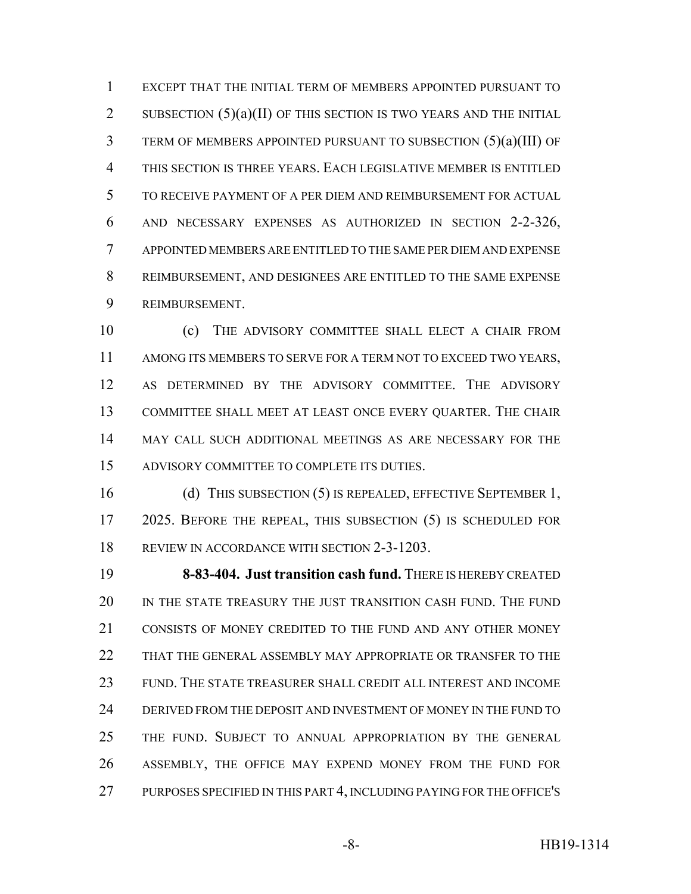EXCEPT THAT THE INITIAL TERM OF MEMBERS APPOINTED PURSUANT TO 2 SUBSECTION  $(5)(a)(II)$  OF THIS SECTION IS TWO YEARS AND THE INITIAL TERM OF MEMBERS APPOINTED PURSUANT TO SUBSECTION (5)(a)(III) OF THIS SECTION IS THREE YEARS. EACH LEGISLATIVE MEMBER IS ENTITLED TO RECEIVE PAYMENT OF A PER DIEM AND REIMBURSEMENT FOR ACTUAL AND NECESSARY EXPENSES AS AUTHORIZED IN SECTION 2-2-326, APPOINTED MEMBERS ARE ENTITLED TO THE SAME PER DIEM AND EXPENSE REIMBURSEMENT, AND DESIGNEES ARE ENTITLED TO THE SAME EXPENSE REIMBURSEMENT.

 (c) THE ADVISORY COMMITTEE SHALL ELECT A CHAIR FROM AMONG ITS MEMBERS TO SERVE FOR A TERM NOT TO EXCEED TWO YEARS, AS DETERMINED BY THE ADVISORY COMMITTEE. THE ADVISORY COMMITTEE SHALL MEET AT LEAST ONCE EVERY QUARTER. THE CHAIR MAY CALL SUCH ADDITIONAL MEETINGS AS ARE NECESSARY FOR THE ADVISORY COMMITTEE TO COMPLETE ITS DUTIES.

 (d) THIS SUBSECTION (5) IS REPEALED, EFFECTIVE SEPTEMBER 1, 2025. BEFORE THE REPEAL, THIS SUBSECTION (5) IS SCHEDULED FOR REVIEW IN ACCORDANCE WITH SECTION 2-3-1203.

 **8-83-404. Just transition cash fund.** THERE IS HEREBY CREATED IN THE STATE TREASURY THE JUST TRANSITION CASH FUND. THE FUND CONSISTS OF MONEY CREDITED TO THE FUND AND ANY OTHER MONEY THAT THE GENERAL ASSEMBLY MAY APPROPRIATE OR TRANSFER TO THE FUND. THE STATE TREASURER SHALL CREDIT ALL INTEREST AND INCOME DERIVED FROM THE DEPOSIT AND INVESTMENT OF MONEY IN THE FUND TO THE FUND. SUBJECT TO ANNUAL APPROPRIATION BY THE GENERAL ASSEMBLY, THE OFFICE MAY EXPEND MONEY FROM THE FUND FOR PURPOSES SPECIFIED IN THIS PART 4, INCLUDING PAYING FOR THE OFFICE'S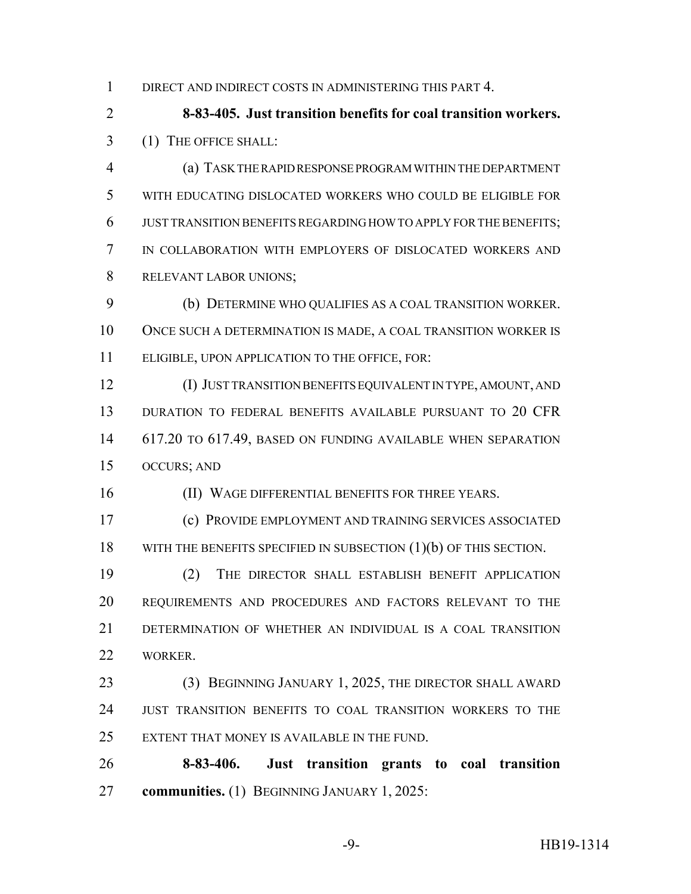DIRECT AND INDIRECT COSTS IN ADMINISTERING THIS PART 4.

 **8-83-405. Just transition benefits for coal transition workers.** (1) THE OFFICE SHALL:

 (a) TASK THE RAPID RESPONSE PROGRAM WITHIN THE DEPARTMENT WITH EDUCATING DISLOCATED WORKERS WHO COULD BE ELIGIBLE FOR JUST TRANSITION BENEFITS REGARDING HOW TO APPLY FOR THE BENEFITS; IN COLLABORATION WITH EMPLOYERS OF DISLOCATED WORKERS AND RELEVANT LABOR UNIONS;

 (b) DETERMINE WHO QUALIFIES AS A COAL TRANSITION WORKER. ONCE SUCH A DETERMINATION IS MADE, A COAL TRANSITION WORKER IS ELIGIBLE, UPON APPLICATION TO THE OFFICE, FOR:

 (I) JUST TRANSITION BENEFITS EQUIVALENT IN TYPE, AMOUNT, AND DURATION TO FEDERAL BENEFITS AVAILABLE PURSUANT TO 20 CFR 617.20 TO 617.49, BASED ON FUNDING AVAILABLE WHEN SEPARATION OCCURS; AND

(II) WAGE DIFFERENTIAL BENEFITS FOR THREE YEARS.

 (c) PROVIDE EMPLOYMENT AND TRAINING SERVICES ASSOCIATED 18 WITH THE BENEFITS SPECIFIED IN SUBSECTION (1)(b) OF THIS SECTION.

 (2) THE DIRECTOR SHALL ESTABLISH BENEFIT APPLICATION REQUIREMENTS AND PROCEDURES AND FACTORS RELEVANT TO THE DETERMINATION OF WHETHER AN INDIVIDUAL IS A COAL TRANSITION WORKER.

 (3) BEGINNING JANUARY 1, 2025, THE DIRECTOR SHALL AWARD JUST TRANSITION BENEFITS TO COAL TRANSITION WORKERS TO THE EXTENT THAT MONEY IS AVAILABLE IN THE FUND.

 **8-83-406. Just transition grants to coal transition communities.** (1) BEGINNING JANUARY 1, 2025: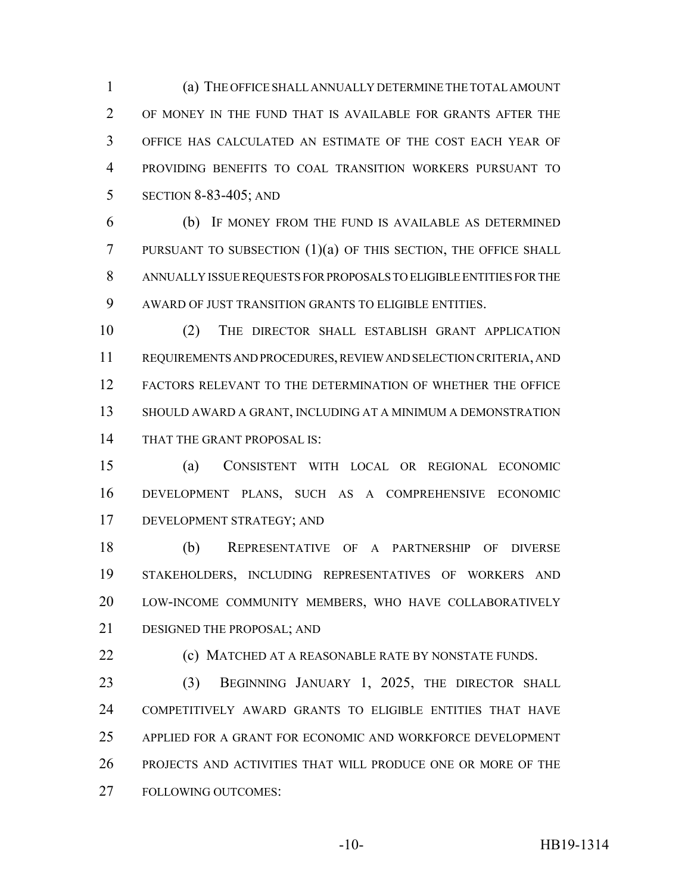(a) THE OFFICE SHALL ANNUALLY DETERMINE THE TOTAL AMOUNT OF MONEY IN THE FUND THAT IS AVAILABLE FOR GRANTS AFTER THE OFFICE HAS CALCULATED AN ESTIMATE OF THE COST EACH YEAR OF PROVIDING BENEFITS TO COAL TRANSITION WORKERS PURSUANT TO SECTION 8-83-405; AND

 (b) IF MONEY FROM THE FUND IS AVAILABLE AS DETERMINED PURSUANT TO SUBSECTION (1)(a) OF THIS SECTION, THE OFFICE SHALL ANNUALLY ISSUE REQUESTS FOR PROPOSALS TO ELIGIBLE ENTITIES FOR THE AWARD OF JUST TRANSITION GRANTS TO ELIGIBLE ENTITIES.

 (2) THE DIRECTOR SHALL ESTABLISH GRANT APPLICATION REQUIREMENTS AND PROCEDURES, REVIEW AND SELECTION CRITERIA, AND FACTORS RELEVANT TO THE DETERMINATION OF WHETHER THE OFFICE SHOULD AWARD A GRANT, INCLUDING AT A MINIMUM A DEMONSTRATION THAT THE GRANT PROPOSAL IS:

 (a) CONSISTENT WITH LOCAL OR REGIONAL ECONOMIC DEVELOPMENT PLANS, SUCH AS A COMPREHENSIVE ECONOMIC DEVELOPMENT STRATEGY; AND

 (b) REPRESENTATIVE OF A PARTNERSHIP OF DIVERSE STAKEHOLDERS, INCLUDING REPRESENTATIVES OF WORKERS AND LOW-INCOME COMMUNITY MEMBERS, WHO HAVE COLLABORATIVELY DESIGNED THE PROPOSAL; AND

**(c) MATCHED AT A REASONABLE RATE BY NONSTATE FUNDS.** 

 (3) BEGINNING JANUARY 1, 2025, THE DIRECTOR SHALL COMPETITIVELY AWARD GRANTS TO ELIGIBLE ENTITIES THAT HAVE APPLIED FOR A GRANT FOR ECONOMIC AND WORKFORCE DEVELOPMENT PROJECTS AND ACTIVITIES THAT WILL PRODUCE ONE OR MORE OF THE FOLLOWING OUTCOMES: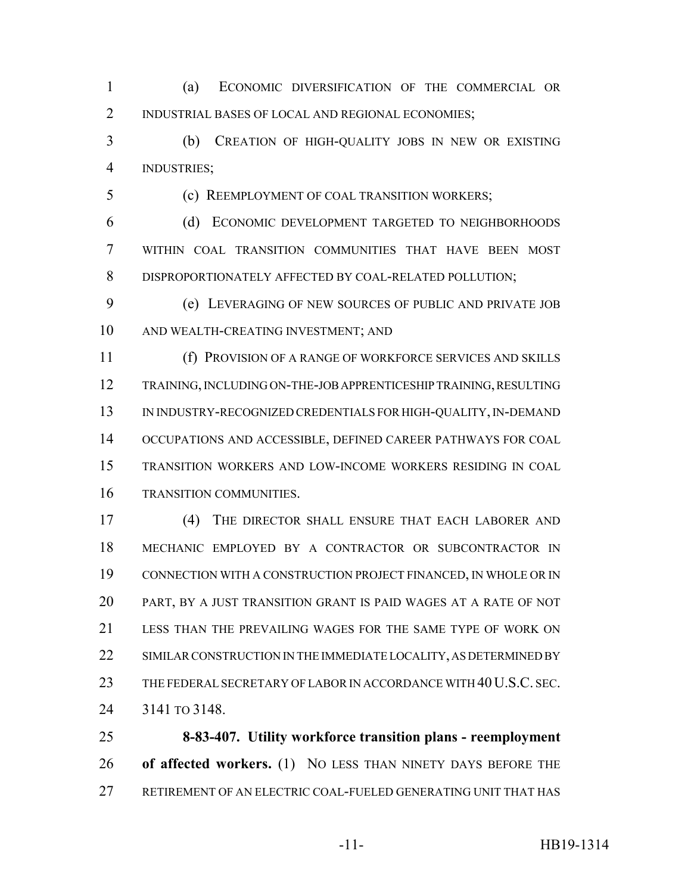(a) ECONOMIC DIVERSIFICATION OF THE COMMERCIAL OR INDUSTRIAL BASES OF LOCAL AND REGIONAL ECONOMIES;

 (b) CREATION OF HIGH-QUALITY JOBS IN NEW OR EXISTING INDUSTRIES;

(c) REEMPLOYMENT OF COAL TRANSITION WORKERS;

 (d) ECONOMIC DEVELOPMENT TARGETED TO NEIGHBORHOODS WITHIN COAL TRANSITION COMMUNITIES THAT HAVE BEEN MOST DISPROPORTIONATELY AFFECTED BY COAL-RELATED POLLUTION;

 (e) LEVERAGING OF NEW SOURCES OF PUBLIC AND PRIVATE JOB AND WEALTH-CREATING INVESTMENT; AND

 (f) PROVISION OF A RANGE OF WORKFORCE SERVICES AND SKILLS TRAINING, INCLUDING ON-THE-JOB APPRENTICESHIP TRAINING, RESULTING IN INDUSTRY-RECOGNIZED CREDENTIALS FOR HIGH-QUALITY, IN-DEMAND OCCUPATIONS AND ACCESSIBLE, DEFINED CAREER PATHWAYS FOR COAL TRANSITION WORKERS AND LOW-INCOME WORKERS RESIDING IN COAL TRANSITION COMMUNITIES.

 (4) THE DIRECTOR SHALL ENSURE THAT EACH LABORER AND MECHANIC EMPLOYED BY A CONTRACTOR OR SUBCONTRACTOR IN CONNECTION WITH A CONSTRUCTION PROJECT FINANCED, IN WHOLE OR IN PART, BY A JUST TRANSITION GRANT IS PAID WAGES AT A RATE OF NOT LESS THAN THE PREVAILING WAGES FOR THE SAME TYPE OF WORK ON 22 SIMILAR CONSTRUCTION IN THE IMMEDIATE LOCALITY, AS DETERMINED BY 23 THE FEDERAL SECRETARY OF LABOR IN ACCORDANCE WITH 40 U.S.C. SEC. 3141 TO 3148.

 **8-83-407. Utility workforce transition plans - reemployment of affected workers.** (1) NO LESS THAN NINETY DAYS BEFORE THE RETIREMENT OF AN ELECTRIC COAL-FUELED GENERATING UNIT THAT HAS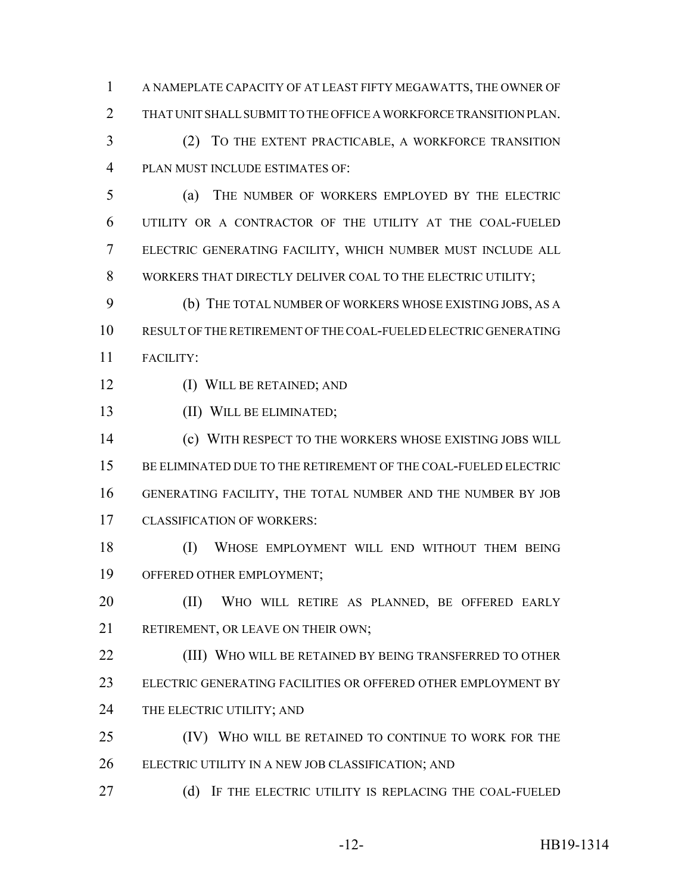A NAMEPLATE CAPACITY OF AT LEAST FIFTY MEGAWATTS, THE OWNER OF THAT UNIT SHALL SUBMIT TO THE OFFICE A WORKFORCE TRANSITION PLAN. (2) TO THE EXTENT PRACTICABLE, A WORKFORCE TRANSITION PLAN MUST INCLUDE ESTIMATES OF: (a) THE NUMBER OF WORKERS EMPLOYED BY THE ELECTRIC UTILITY OR A CONTRACTOR OF THE UTILITY AT THE COAL-FUELED ELECTRIC GENERATING FACILITY, WHICH NUMBER MUST INCLUDE ALL WORKERS THAT DIRECTLY DELIVER COAL TO THE ELECTRIC UTILITY; (b) THE TOTAL NUMBER OF WORKERS WHOSE EXISTING JOBS, AS A RESULT OF THE RETIREMENT OF THE COAL-FUELED ELECTRIC GENERATING FACILITY: (I) WILL BE RETAINED; AND (II) WILL BE ELIMINATED; (c) WITH RESPECT TO THE WORKERS WHOSE EXISTING JOBS WILL BE ELIMINATED DUE TO THE RETIREMENT OF THE COAL-FUELED ELECTRIC GENERATING FACILITY, THE TOTAL NUMBER AND THE NUMBER BY JOB CLASSIFICATION OF WORKERS: (I) WHOSE EMPLOYMENT WILL END WITHOUT THEM BEING OFFERED OTHER EMPLOYMENT; (II) WHO WILL RETIRE AS PLANNED, BE OFFERED EARLY 21 RETIREMENT, OR LEAVE ON THEIR OWN; (III) WHO WILL BE RETAINED BY BEING TRANSFERRED TO OTHER ELECTRIC GENERATING FACILITIES OR OFFERED OTHER EMPLOYMENT BY 24 THE ELECTRIC UTILITY; AND (IV) WHO WILL BE RETAINED TO CONTINUE TO WORK FOR THE ELECTRIC UTILITY IN A NEW JOB CLASSIFICATION; AND 27 (d) IF THE ELECTRIC UTILITY IS REPLACING THE COAL-FUELED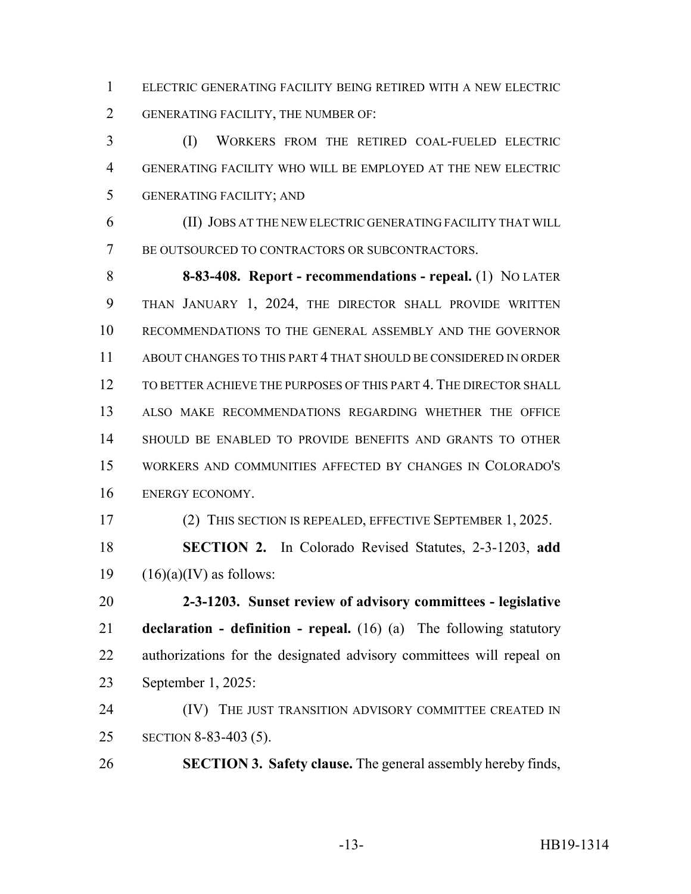ELECTRIC GENERATING FACILITY BEING RETIRED WITH A NEW ELECTRIC GENERATING FACILITY, THE NUMBER OF:

 (I) WORKERS FROM THE RETIRED COAL-FUELED ELECTRIC GENERATING FACILITY WHO WILL BE EMPLOYED AT THE NEW ELECTRIC GENERATING FACILITY; AND

 (II) JOBS AT THE NEW ELECTRIC GENERATING FACILITY THAT WILL BE OUTSOURCED TO CONTRACTORS OR SUBCONTRACTORS.

 **8-83-408. Report - recommendations - repeal.** (1) NO LATER THAN JANUARY 1, 2024, THE DIRECTOR SHALL PROVIDE WRITTEN RECOMMENDATIONS TO THE GENERAL ASSEMBLY AND THE GOVERNOR ABOUT CHANGES TO THIS PART 4 THAT SHOULD BE CONSIDERED IN ORDER TO BETTER ACHIEVE THE PURPOSES OF THIS PART 4. THE DIRECTOR SHALL ALSO MAKE RECOMMENDATIONS REGARDING WHETHER THE OFFICE SHOULD BE ENABLED TO PROVIDE BENEFITS AND GRANTS TO OTHER WORKERS AND COMMUNITIES AFFECTED BY CHANGES IN COLORADO'S ENERGY ECONOMY.

(2) THIS SECTION IS REPEALED, EFFECTIVE SEPTEMBER 1, 2025.

 **SECTION 2.** In Colorado Revised Statutes, 2-3-1203, **add** 19  $(16)(a)(IV)$  as follows:

 **2-3-1203. Sunset review of advisory committees - legislative declaration - definition - repeal.** (16) (a) The following statutory authorizations for the designated advisory committees will repeal on September 1, 2025:

**(IV)** THE JUST TRANSITION ADVISORY COMMITTEE CREATED IN SECTION 8-83-403 (5).

**SECTION 3. Safety clause.** The general assembly hereby finds,